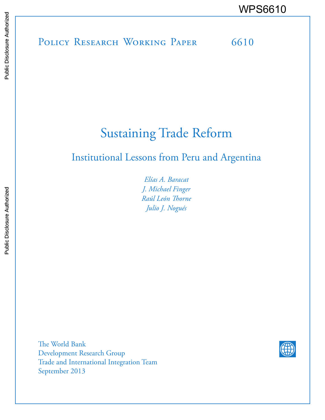# POLICY RESEARCH WORKING PAPER 6610 WPS6610<br>
Media<br>
Media<br>
Policy Research Working Paper 6610<br>
Policy Research Working Paper 6610

# Sustaining Trade Reform

# Institutional Lessons from Peru and Argentina

*Elías A. Baracat J. Michael Finger Raúl León Thorne Julio J. Nogués*

The World Bank Development Research Group Trade and International Integration Team September 2013

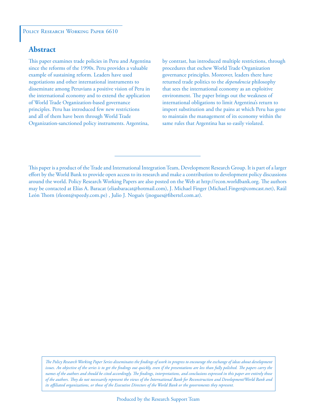#### POLICY RESEARCH WORKING PAPER 6610

#### **Abstract**

This paper examines trade policies in Peru and Argentina since the reforms of the 1990s. Peru provides a valuable example of sustaining reform. Leaders have used negotiations and other international instruments to disseminate among Peruvians a positive vision of Peru in the international economy and to extend the application of World Trade Organization-based governance principles. Peru has introduced few new restrictions and all of them have been through World Trade Organization-sanctioned policy instruments. Argentina,

by contrast, has introduced multiple restrictions, through procedures that eschew World Trade Organization governance principles. Moreover, leaders there have returned trade politics to the *dependencia* philosophy that sees the international economy as an exploitive environment. The paper brings out the weakness of international obligations to limit Argentina's return to import substitution and the pains at which Peru has gone to maintain the management of its economy within the same rules that Argentina has so easily violated.

This paper is a product of the Trade and International Integration Team, Development Research Group. It is part of a larger effort by the World Bank to provide open access to its research and make a contribution to development policy discussions around the world. Policy Research Working Papers are also posted on the Web at http://econ.worldbank.org. The authors may be contacted at Elías A. Baracat (eliasbaracat@hotmail.com), J. Michael Finger (Michael.Finger@comcast.net), Raúl León Thorn (rleont@speedy.com.pe) , Julio J. Nogués (jnogues@fibertel.com.ar).

*The Policy Research Working Paper Series disseminates the findings of work in progress to encourage the exchange of ideas about development*  issues. An objective of the series is to get the findings out quickly, even if the presentations are less than fully polished. The papers carry the *names of the authors and should be cited accordingly. The findings, interpretations, and conclusions expressed in this paper are entirely those of the authors. They do not necessarily represent the views of the International Bank for Reconstruction and Development/World Bank and its affiliated organizations, or those of the Executive Directors of the World Bank or the governments they represent.*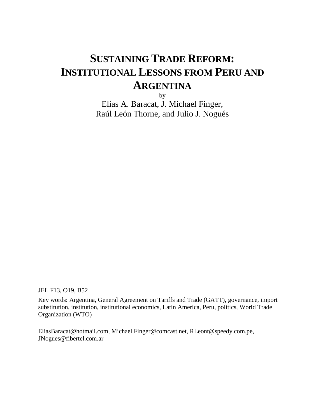# **SUSTAINING TRADE REFORM: INSTITUTIONAL LESSONS FROM PERU AND ARGENTINA**

by

Elías A. Baracat, J. Michael Finger, Raúl León Thorne, and Julio J. Nogués

JEL F13, O19, B52

Key words: Argentina, General Agreement on Tariffs and Trade (GATT), governance, import substitution, institution, institutional economics, Latin America, Peru, politics, World Trade Organization (WTO)

EliasBaracat@hotmail.com, Michael.Finger@comcast.net, RLeont@speedy.com.pe, JNogues@fibertel.com.ar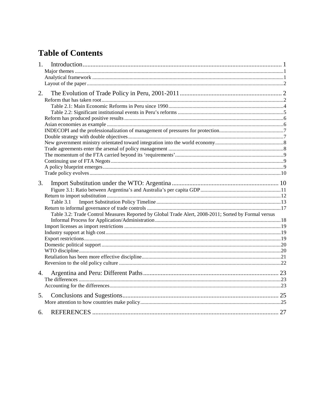# **Table of Contents**

| 1. |                                                                                                      |  |
|----|------------------------------------------------------------------------------------------------------|--|
| 2. |                                                                                                      |  |
|    |                                                                                                      |  |
|    |                                                                                                      |  |
|    |                                                                                                      |  |
|    |                                                                                                      |  |
|    |                                                                                                      |  |
|    |                                                                                                      |  |
|    |                                                                                                      |  |
|    |                                                                                                      |  |
|    |                                                                                                      |  |
|    |                                                                                                      |  |
|    |                                                                                                      |  |
|    |                                                                                                      |  |
| 3. |                                                                                                      |  |
|    |                                                                                                      |  |
|    |                                                                                                      |  |
|    |                                                                                                      |  |
|    |                                                                                                      |  |
|    | Table 3.2: Trade Control Measures Reported by Global Trade Alert, 2008-2011; Sorted by Formal versus |  |
|    |                                                                                                      |  |
|    |                                                                                                      |  |
|    |                                                                                                      |  |
|    |                                                                                                      |  |
|    |                                                                                                      |  |
|    |                                                                                                      |  |
|    |                                                                                                      |  |
|    |                                                                                                      |  |
| 4. |                                                                                                      |  |
|    |                                                                                                      |  |
|    |                                                                                                      |  |
| 5. |                                                                                                      |  |
|    |                                                                                                      |  |
|    |                                                                                                      |  |
| 6. |                                                                                                      |  |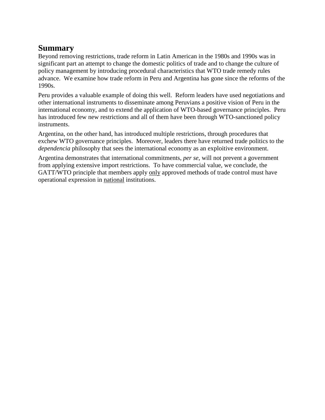## <span id="page-4-0"></span>**Summary**

Beyond removing restrictions, trade reform in Latin American in the 1980s and 1990s was in significant part an attempt to change the domestic politics of trade and to change the culture of policy management by introducing procedural characteristics that WTO trade remedy rules advance. We examine how trade reform in Peru and Argentina has gone since the reforms of the 1990s.

Peru provides a valuable example of doing this well. Reform leaders have used negotiations and other international instruments to disseminate among Peruvians a positive vision of Peru in the international economy, and to extend the application of WTO-based governance principles. Peru has introduced few new restrictions and all of them have been through WTO-sanctioned policy instruments.

Argentina, on the other hand, has introduced multiple restrictions, through procedures that exchew WTO governance principles. Moreover, leaders there have returned trade politics to the *dependencia* philosophy that sees the international economy as an exploitive environment.

Argentina demonstrates that international commitments, *per se*, will not prevent a government from applying extensive import restrictions. To have commercial value, we conclude, the GATT/WTO principle that members apply only approved methods of trade control must have operational expression in national institutions.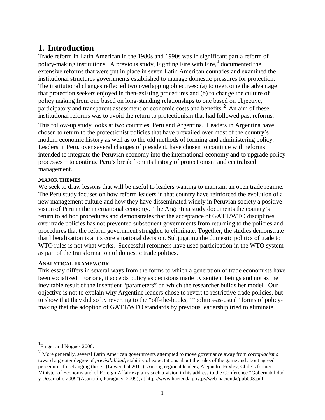## **1. Introduction**

Trade reform in Latin American in the 1980s and 1990s was in significant part a reform of policy-making institutions. A previous study, **Fighting Fire with Fire**,<sup>[1](#page-5-2)</sup> documented the extensive reforms that were put in place in seven Latin American countries and examined the institutional structures governments established to manage domestic pressures for protection. The institutional changes reflected two overlapping objectives: (a) to overcome the advantage that protection seekers enjoyed in then-existing procedures and (b) to change the culture of policy making from one based on long-standing relationships to one based on objective, participatory and transparent assessment of economic costs and benefits.<sup>[2](#page-5-3)</sup> An aim of these institutional reforms was to avoid the return to protectionism that had followed past reforms.

This follow-up study looks at two countries, Peru and Argentina. Leaders in Argentina have chosen to return to the protectionist policies that have prevailed over most of the country's modern economic history as well as to the old methods of forming and administering policy. Leaders in Peru, over several changes of president, have chosen to continue with reforms intended to integrate the Peruvian economy into the international economy and to upgrade policy processes − to continue Peru's break from its history of protectionism and centralized management.

#### <span id="page-5-0"></span>**MAJOR THEMES**

We seek to draw lessons that will be useful to leaders wanting to maintain an open trade regime. The Peru study focuses on how reform leaders in that country have reinforced the evolution of a new management culture and how they have disseminated widely in Peruvian society a positive vision of Peru in the international economy. The Argentina study documents the country's return to ad hoc procedures and demonstrates that the acceptance of GATT/WTO disciplines over trade policies has not prevented subsequent governments from returning to the policies and procedures that the reform government struggled to eliminate. Together, the studies demonstrate that liberalization is at its core a national decision. Subjugating the domestic politics of trade to WTO rules is not what works. Successful reformers have used participation in the WTO system as part of the transformation of domestic trade politics.

#### <span id="page-5-1"></span>**ANALYTICAL FRAMEWORK**

This essay differs in several ways from the forms to which a generation of trade economists have been socialized. For one, it accepts policy as decisions made by sentient beings and not as the inevitable result of the insentient "parameters" on which the researcher builds her model. Our objective is not to explain why Argentine leaders chose to revert to restrictive trade policies, but to show that they did so by reverting to the "off-the-books," "politics-as-usual" forms of policymaking that the adoption of GATT/WTO standards by previous leadership tried to eliminate.

<sup>&</sup>lt;sup>1</sup>Finger and Nogués 2006.

<span id="page-5-3"></span><span id="page-5-2"></span><sup>2</sup> More generally, several Latin American governments attempted to move governance away from *cortoplacismo* toward a greater degree of *previsibilidad*; stability of expectations about the rules of the game and about agreed procedures for changing these. (Lowenthal 2011) Among regional leaders, Alejandro Foxley, Chile's former Minister of Economy and of Foreign Affair explains such a vision in his address to the Conference "Gobernabilidad y Desarrollo 2009"(Asunción, Paraguay, 2009), at [http://www.hacienda.gov.py/web-hacienda/pub003.pdf.](http://www.hacienda.gov.py/web-hacienda/pub003.pdf)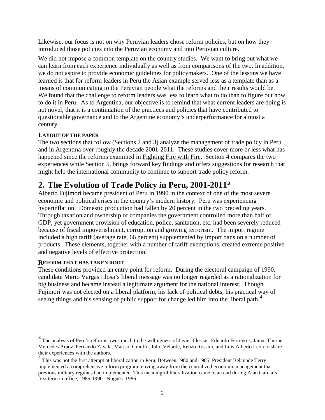Likewise, our focus is not on why Peruvian leaders chose reform policies, but on how they introduced those policies into the Peruvian economy and into Peruvian culture.

We did not impose a common template on the country studies. We want to bring out what we can learn from each experience individually as well as from comparisons of the two. In addition, we do not aspire to provide economic guidelines for policymakers. One of the lessons we have learned is that for reform leaders in Peru the Asian example served less as a template than as a means of communicating to the Peruvian people what the reforms and their results would be. We found that the challenge to reform leaders was less to learn what to do than to figure out how to do it in Peru. As to Argentina, our objective is to remind that what current leaders are doing is not novel, that it is a continuation of the practices and policies that have contributed to questionable governance and to the Argentine economy's underperformance for almost a century.

#### <span id="page-6-0"></span>**LAYOUT OF THE PAPER**

The two sections that follow (Sections 2 and 3) analyze the management of trade policy in Peru and in Argentina over roughly the decade 2001-2011. These studies cover more or less what has happened since the reforms examined in Fighting Fire with Fire. Section 4 compares the two experiences while Section 5, brings forward key findings and offers suggestions for research that might help the international community to continue to support trade policy reform.

# <span id="page-6-1"></span>**2. The Evolution of Trade Policy in Peru, 2001-2011[3](#page-6-3)**

Alberto Fujimori became president of Peru in 1990 in the context of one of the most severe economic and political crises in the country's modern history. Peru was experiencing hyperinflation. Domestic production had fallen by 20 percent in the two preceding years. Through taxation and ownership of companies the government controlled more than half of GDP, yet government provision of education, police, sanitation, etc. had been severely reduced because of fiscal impoverishment, corruption and growing terrorism. The import regime included a high tariff (average rate, 66 percent) supplemented by import bans on a number of products. These elements, together with a number of tariff exemptions, created extreme positive and negative levels of effective protection.

#### <span id="page-6-2"></span>**REFORM THAT HAS TAKEN ROOT**

 $\overline{a}$ 

These conditions provided an entry point for reform. During the electoral campaign of 1990, candidate Mario Vargas Llosa's liberal message was no longer regarded as a rationalization for big business and became instead a legitimate argument for the national interest. Though Fujimori was not elected on a liberal platform, his lack of political debts, his practical way of seeing things and his sensing of public support for change led him into the liberal path.<sup>[4](#page-6-4)</sup>

<span id="page-6-3"></span><sup>&</sup>lt;sup>3</sup> The analysis of Peru's reforms owes much to the willingness of Javier Illescas, Eduardo Ferreyros, Jaime Thorne, Mercedes Aráoz, Fernando Zavala, Marisol Guiulfo, Julio Velarde, Renzo Rossini, and Luis Alberto León to share their experiences with the authors.

<span id="page-6-4"></span><sup>&</sup>lt;sup>4</sup> This was not the first attempt at liberalization in Peru. Between 1980 and 1985, President Belaunde Terry implemented a comprehensive reform program moving away from the centralized economic management that previous military regimes had implemented. This meaningful liberalization came to an end during Alan Garcia's first term in office, 1985-1990. Nogués 1986.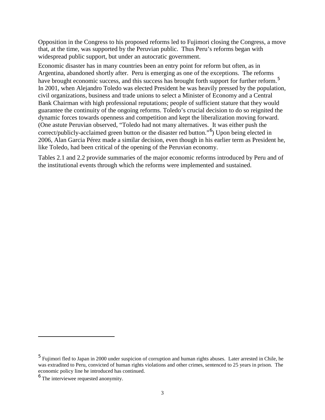Opposition in the Congress to his proposed reforms led to Fujimori closing the Congress, a move that, at the time, was supported by the Peruvian public. Thus Peru's reforms began with widespread public support, but under an autocratic government.

Economic disaster has in many countries been an entry point for reform but often, as in Argentina, abandoned shortly after. Peru is emerging as one of the exceptions. The reforms have brought economic success, and this success has brought forth support for further reform.<sup>[5](#page-7-0)</sup> In 2001, when Alejandro Toledo was elected President he was heavily pressed by the population, civil organizations, business and trade unions to select a Minister of Economy and a Central Bank Chairman with high professional reputations; people of sufficient stature that they would guarantee the continuity of the ongoing reforms. Toledo's crucial decision to do so reignited the dynamic forces towards openness and competition and kept the liberalization moving forward. (One astute Peruvian observed, "Toledo had not many alternatives. It was either push the correct/publicly-acclaimed green button or the disaster red button."<sup>[6](#page-7-1)</sup>) Upon being elected in 2006, Alan Garcia Pérez made a similar decision, even though in his earlier term as President he, like Toledo, had been critical of the opening of the Peruvian economy.

Tables 2.1 and 2.2 provide summaries of the major economic reforms introduced by Peru and of the institutional events through which the reforms were implemented and sustained.

<span id="page-7-0"></span><sup>5</sup> Fujimori fled to Japan in 2000 under suspicion of corruption and human rights abuses. Later arrested in Chile, he was extradited to Peru, convicted of human rights violations and other crimes, sentenced to 25 years in prison. The economic policy line he introduced has continued.

<span id="page-7-1"></span><sup>&</sup>lt;sup>6</sup> The interviewee requested anonymity.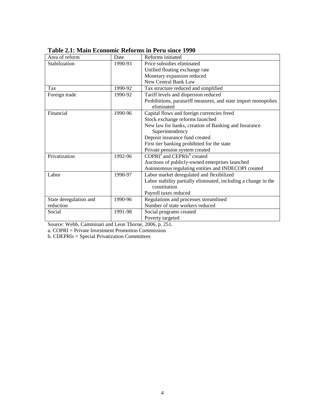| Area of reform           | Date    | Reforms initiated                                                            |  |  |  |
|--------------------------|---------|------------------------------------------------------------------------------|--|--|--|
| Stabilization            | 1990-93 | Price subsidies eliminated                                                   |  |  |  |
|                          |         | Unified floating exchange rate                                               |  |  |  |
|                          |         | Monetary expansion reduced                                                   |  |  |  |
|                          |         | New Central Bank Law                                                         |  |  |  |
| Tax                      | 1990-92 | Tax structure reduced and simplified                                         |  |  |  |
| Foreign trade            | 1990-92 | Tariff levels and dispersion reduced                                         |  |  |  |
|                          |         | Prohibitions, paratariff measures, and state import monopolies<br>eliminated |  |  |  |
| Financial                | 1990-96 | Capital flows and foreign currencies freed                                   |  |  |  |
|                          |         | Stock exchange reforms launched                                              |  |  |  |
|                          |         | New law for banks, creation of Banking and Insurance                         |  |  |  |
|                          |         | Superintendency                                                              |  |  |  |
|                          |         | Deposit insurance fund created                                               |  |  |  |
|                          |         | First tier banking prohibited for the state                                  |  |  |  |
|                          |         | Private pension system created                                               |  |  |  |
| Privatization<br>1992-96 |         | $COPRIa$ and $CEPRIsb$ created                                               |  |  |  |
|                          |         | Auctions of publicly-owned enterprises launched                              |  |  |  |
|                          |         | Autonomous regulating entities and INDECOPI created                          |  |  |  |
| Labor                    | 1990-97 | Labor market deregulated and flexibilized                                    |  |  |  |
|                          |         | Labor stability partially eliminated, including a change in the              |  |  |  |
|                          |         | constitution                                                                 |  |  |  |
|                          |         | Payroll taxes reduced                                                        |  |  |  |
| State deregulation and   | 1990-96 | Regulations and processes streamlined                                        |  |  |  |
| reduction                |         | Number of state workers reduced                                              |  |  |  |
| Social                   | 1991-98 | Social programs created                                                      |  |  |  |
|                          |         | Poverty targeted                                                             |  |  |  |

<span id="page-8-0"></span>

| Table 2.1: Main Economic Reforms in Peru since 1990 |  |  |
|-----------------------------------------------------|--|--|
|-----------------------------------------------------|--|--|

Source: Webb, Camminati and Leon Thorne, 2006, p. 251.

a. COPRI = Private Investment Promotion Commission

b. CDEPRIs = Special Privatization Committees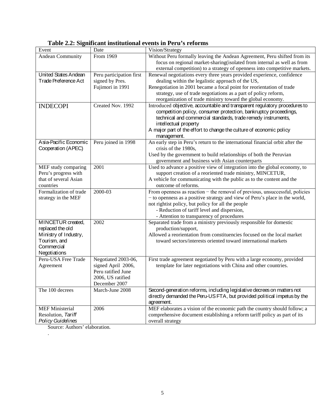| Event                    | Date                     | Vision/Strategy                                                                                                                                |  |  |  |
|--------------------------|--------------------------|------------------------------------------------------------------------------------------------------------------------------------------------|--|--|--|
| <b>Andean Community</b>  | From 1969                | Without Peru formally leaving the Andean Agreement, Peru shifted from its                                                                      |  |  |  |
|                          |                          | focus on regional market-sharing(isolated from internal as well as from                                                                        |  |  |  |
|                          |                          | external competition) to a strategy of openness into competitive markets.                                                                      |  |  |  |
| United States Andean     | Peru participation first | Renewal negotiations every three years provided experience, confidence                                                                         |  |  |  |
| Trade Preference Act     | signed by Pres.          | dealing within the legalistic approach of the US,                                                                                              |  |  |  |
|                          | Fujimori in 1991         | Renegotiation in 2001 became a focal point for reorientation of trade                                                                          |  |  |  |
|                          |                          | strategy, use of trade negotiations as a part of policy reform,                                                                                |  |  |  |
|                          | Created Nov. 1992        | reorganization of trade ministry toward the global economy.                                                                                    |  |  |  |
| <b>INDECOPI</b>          |                          | Introduced objective, accountable and transparent regulatory procedures to<br>competition policy, consumer protection, bankruptcy proceedings, |  |  |  |
|                          |                          | technical and commercial standards, trade remedy instruments,                                                                                  |  |  |  |
|                          |                          | intellectual property                                                                                                                          |  |  |  |
|                          |                          | A major part of the effort to change the culture of economic policy                                                                            |  |  |  |
|                          |                          | management.                                                                                                                                    |  |  |  |
| Asia-Pacific Economic    | Peru joined in 1998      | An early step in Peru's return to the international financial orbit after the                                                                  |  |  |  |
| Cooperation (APEC)       |                          | crisis of the 1980s,                                                                                                                           |  |  |  |
|                          |                          | Used by the government to build relationships of both the Peruvian                                                                             |  |  |  |
|                          |                          | government and business with Asian counterparts                                                                                                |  |  |  |
| MEF study comparing      | 2001                     | Used to advance a positive view of integration into the global economy, to                                                                     |  |  |  |
| Peru's progress with     |                          | support creation of a reoriented trade ministry, MINCETUR,                                                                                     |  |  |  |
| that of several Asian    |                          | A vehicle for communicating with the public as to the content and the                                                                          |  |  |  |
| countries                |                          | outcome of reforms.                                                                                                                            |  |  |  |
| Formalization of trade   | 2000-03                  | From openness as reaction $-$ the removal of previous, unsuccessful, policies                                                                  |  |  |  |
| strategy in the MEF      |                          | - to openness as a positive strategy and view of Peru's place in the world,                                                                    |  |  |  |
|                          |                          | not rightist policy, but policy for all the people                                                                                             |  |  |  |
|                          |                          | - Reduction of tariff level and dispersion,                                                                                                    |  |  |  |
| MINCETUR created,        | 2002                     | - Attention to transparency of procedures                                                                                                      |  |  |  |
| replaced the old         |                          | Separated trade from a ministry previously responsible for domestic<br>production/support,                                                     |  |  |  |
| Ministry of Industry,    |                          | Allowed a reorientation from constituencies focused on the local market                                                                        |  |  |  |
| Tourism, and             |                          | toward sectors/interests oriented toward international markets                                                                                 |  |  |  |
| Commercial               |                          |                                                                                                                                                |  |  |  |
| Negotiations             |                          |                                                                                                                                                |  |  |  |
| Peru-USA Free Trade      | Negotiated 2003-06,      | First trade agreement negotiated by Peru with a large economy, provided                                                                        |  |  |  |
| Agreement                | signed April 2006,       | template for later negotiations with China and other countries.                                                                                |  |  |  |
|                          | Peru ratified June       |                                                                                                                                                |  |  |  |
|                          | 2006, US ratified        |                                                                                                                                                |  |  |  |
|                          | December 2007            |                                                                                                                                                |  |  |  |
| The 100 decrees          | March-June 2008          | Second-generation reforms, including legislative decrees on matters not                                                                        |  |  |  |
|                          |                          | directly demanded the Peru-US FTA, but provided political impetus by the                                                                       |  |  |  |
|                          |                          | agreement.                                                                                                                                     |  |  |  |
| <b>MEF Ministerial</b>   | 2006                     | MEF elaborates a vision of the economic path the country should follow; a                                                                      |  |  |  |
| Resolution, Tariff       |                          | comprehensive document establishing a reform tariff policy as part of its                                                                      |  |  |  |
| <b>Policy Guidelines</b> |                          | overall strategy                                                                                                                               |  |  |  |

<span id="page-9-0"></span>**Table 2.2: Significant institutional events in Peru's reforms** 

Source: Authors' elaboration.

.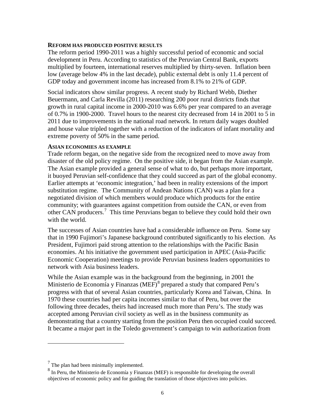#### <span id="page-10-0"></span>**REFORM HAS PRODUCED POSITIVE RESULTS**

The reform period 1990-2011 was a highly successful period of economic and social development in Peru. According to statistics of the Peruvian Central Bank, exports multiplied by fourteen, international reserves multiplied by thirty-seven. Inflation been low (average below 4% in the last decade), public external debt is only 11.4 percent of GDP today and government income has increased from 8.1% to 21% of GDP.

Social indicators show similar progress. A recent study by Richard Webb, Diether Beuermann, and Carla Revilla (2011) researching 200 poor rural districts finds that growth in rural capital income in 2000-2010 was 6.6% per year compared to an average of 0.7% in 1900-2000. Travel hours to the nearest city decreased from 14 in 2001 to 5 in 2011 due to improvements in the national road network. In return daily wages doubled and house value tripled together with a reduction of the indicators of infant mortality and extreme poverty of 50% in the same period.

#### <span id="page-10-1"></span>**ASIAN ECONOMIES AS EXAMPLE**

Trade reform began, on the negative side from the recognized need to move away from disaster of the old policy regime. On the positive side, it began from the Asian example. The Asian example provided a general sense of what to do, but perhaps more important, it buoyed Peruvian self-confidence that they could succeed as part of the global economy. Earlier attempts at 'economic integration,' had been in reality extensions of the import substitution regime. The Community of Andean Nations (CAN) was a plan for a negotiated division of which members would produce which products for the entire community; with guarantees against competition from outside the CAN, or even from other CAN producers.<sup>[7](#page-10-2)</sup> This time Peruvians began to believe they could hold their own with the world.

The successes of Asian countries have had a considerable influence on Peru. Some say that in 1990 Fujimori's Japanese background contributed significantly to his election. As President, Fujimori paid strong attention to the relationships with the Pacific Basin economies. At his initiative the government used participation in APEC (Asia-Pacific Economic Cooperation) meetings to provide Peruvian business leaders opportunities to network with Asia business leaders.

While the Asian example was in the background from the beginning, in 2001 the Ministerio de Economía y Finanzas (MEF)<sup>[8](#page-10-3)</sup> prepared a study that compared Peru's progress with that of several Asian countries, particularly Korea and Taiwan, China. In 1970 these countries had per capita incomes similar to that of Peru, but over the following three decades, theirs had increased much more than Peru's. The study was accepted among Peruvian civil society as well as in the business community as demonstrating that a country starting from the position Peru then occupied could succeed. It became a major part in the Toledo government's campaign to win authorization from

<span id="page-10-2"></span> $<sup>7</sup>$  The plan had been minimally implemented.</sup>

<span id="page-10-3"></span><sup>&</sup>lt;sup>8</sup> In Peru, the Ministerio de Economía y Finanzas (MEF) is responsible for developing the overall objectives of economic policy and for guiding the translation of those objectives into policies.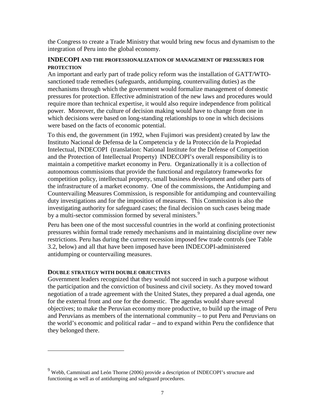the Congress to create a Trade Ministry that would bring new focus and dynamism to the integration of Peru into the global economy.

#### <span id="page-11-0"></span>**INDECOPI AND THE PROFESSIONALIZATION OF MANAGEMENT OF PRESSURES FOR PROTECTION**

An important and early part of trade policy reform was the installation of GATT/WTOsanctioned trade remedies (safeguards, antidumping, countervailing duties) as the mechanisms through which the government would formalize management of domestic pressures for protection. Effective administration of the new laws and procedures would require more than technical expertise, it would also require independence from political power. Moreover, the culture of decision making would have to change from one in which decisions were based on long-standing relationships to one in which decisions were based on the facts of economic potential.

To this end, the government (in 1992, when Fujimori was president) created by law the Instituto Nacional de Defensa de la Competencia y de la Protección de la Propiedad Intelectual, INDECOPI (translation: National Institute for the Defense of Competition and the Protection of Intellectual Property) INDECOPI's overall responsibility is to maintain a competitive market economy in Peru. Organizationally it is a collection of autonomous commissions that provide the functional and regulatory frameworks for competition policy, intellectual property, small business development and other parts of the infrastructure of a market economy. One of the commissions, the Antidumping and Countervailing Measures Commission, is responsible for antidumping and countervailing duty investigations and for the imposition of measures. This Commission is also the investigating authority for safeguard cases; the final decision on such cases being made by a multi-sector commission formed by several ministers.<sup>[9](#page-11-2)</sup>

Peru has been one of the most successful countries in the world at confining protectionist pressures within formal trade remedy mechanisms and in maintaining discipline over new restrictions. Peru has during the current recession imposed few trade controls (see Table 3.2, below) and all that have been imposed have been INDECOPI-administered antidumping or countervailing measures.

#### <span id="page-11-1"></span>**DOUBLE STRATEGY WITH DOUBLE OBJECTIVES**

 $\overline{a}$ 

Government leaders recognized that they would not succeed in such a purpose without the participation and the conviction of business and civil society. As they moved toward negotiation of a trade agreement with the United States, they prepared a dual agenda, one for the external front and one for the domestic. The agendas would share several objectives; to make the Peruvian economy more productive, to build up the image of Peru and Peruvians as members of the international community – to put Peru and Peruvians on the world's economic and political radar – and to expand within Peru the confidence that they belonged there.

<span id="page-11-2"></span><sup>9</sup> Webb, Camminati and León Thorne (2006) provide a description of INDECOPI's structure and functioning as well as of antidumping and safeguard procedures.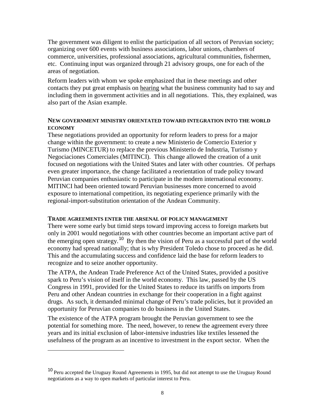The government was diligent to enlist the participation of all sectors of Peruvian society; organizing over 600 events with business associations, labor unions, chambers of commerce, universities, professional associations, agricultural communities, fishermen, etc. Continuing input was organized through 21 advisory groups, one for each of the areas of negotiation.

Reform leaders with whom we spoke emphasized that in these meetings and other contacts they put great emphasis on hearing what the business community had to say and including them in government activities and in all negotiations. This, they explained, was also part of the Asian example.

#### <span id="page-12-0"></span>**NEW GOVERNMENT MINISTRY ORIENTATED TOWARD INTEGRATION INTO THE WORLD ECONOMY**

These negotiations provided an opportunity for reform leaders to press for a major change within the government: to create a new Ministerio de Comercio Exterior y Turismo (MINCETUR) to replace the previous Ministerio de Industria, Turismo y Negociaciones Comerciales (MITINCI). This change allowed the creation of a unit focused on negotiations with the United States and later with other countries. Of perhaps even greater importance, the change facilitated a reorientation of trade policy toward Peruvian companies enthusiastic to participate in the modern international economy. MITINCI had been oriented toward Peruvian businesses more concerned to avoid exposure to international competition, its negotiating experience primarily with the regional-import-substitution orientation of the Andean Community.

#### <span id="page-12-1"></span>**TRADE AGREEMENTS ENTER THE ARSENAL OF POLICY MANAGEMENT**

There were some early but timid steps toward improving access to foreign markets but only in 2001 would negotiations with other countries become an important active part of the emerging open strategy.<sup>[10](#page-12-2)</sup> By then the vision of Peru as a successful part of the world economy had spread nationally; that is why President Toledo chose to proceed as he did. This and the accumulating success and confidence laid the base for reform leaders to recognize and to seize another opportunity.

The ATPA, the Andean Trade Preference Act of the United States, provided a positive spark to Peru's vision of itself in the world economy. This law, passed by the US Congress in 1991, provided for the United States to reduce its tariffs on imports from Peru and other Andean countries in exchange for their cooperation in a fight against drugs. As such, it demanded minimal change of Peru's trade policies, but it provided an opportunity for Peruvian companies to do business in the United States.

The existence of the ATPA program brought the Peruvian government to see the potential for something more. The need, however, to renew the agreement every three years and its initial exclusion of labor-intensive industries like textiles lessened the usefulness of the program as an incentive to investment in the export sector. When the

<span id="page-12-2"></span><sup>&</sup>lt;sup>10</sup> Peru accepted the Uruguay Round Agreements in 1995, but did not attempt to use the Uruguay Round negotiations as a way to open markets of particular interest to Peru.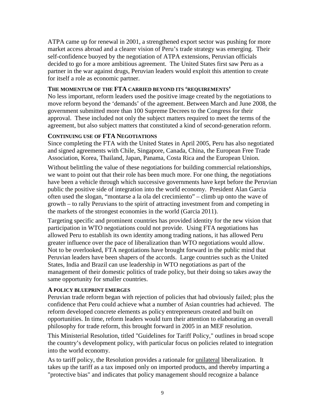ATPA came up for renewal in 2001, a strengthened export sector was pushing for more market access abroad and a clearer vision of Peru's trade strategy was emerging. Their self-confidence buoyed by the negotiation of ATPA extensions, Peruvian officials decided to go for a more ambitious agreement. The United States first saw Peru as a partner in the war against drugs, Peruvian leaders would exploit this attention to create for itself a role as economic partner.

#### <span id="page-13-0"></span>**THE MOMENTUM OF THE FTA CARRIED BEYOND ITS 'REQUIREMENTS'**

No less important, reform leaders used the positive image created by the negotiations to move reform beyond the 'demands' of the agreement. Between March and June 2008, the government submitted more than 100 Supreme Decrees to the Congress for their approval. These included not only the subject matters required to meet the terms of the agreement, but also subject matters that constituted a kind of second-generation reform.

#### <span id="page-13-1"></span>**CONTINUING USE OF FTA NEGOTIATIONS**

Since completing the FTA with the United States in April 2005, Peru has also negotiated and signed agreements with Chile, Singapore, Canada, China, the European Free Trade Association, Korea, Thailand, Japan, Panama, Costa Rica and the European Union.

Without belittling the value of these negotiations for building commercial relationships, we want to point out that their role has been much more. For one thing, the negotiations have been a vehicle through which successive governments have kept before the Peruvian public the positive side of integration into the world economy. President Alan Garcia often used the slogan, "montarse a la ola del crecimiento" – climb up onto the wave of growth – to rally Peruvians to the spirit of attracting investment from and competing in the markets of the strongest economies in the world (Garcia 2011).

Targeting specific and prominent countries has provided identity for the new vision that participation in WTO negotiations could not provide. Using FTA negotiations has allowed Peru to establish its own identity among trading nations, it has allowed Peru greater influence over the pace of liberalization than WTO negotiations would allow. Not to be overlooked, FTA negotiations have brought forward in the public mind that Peruvian leaders have been shapers of the accords. Large countries such as the United States, India and Brazil can use leadership in WTO negotiations as part of the management of their domestic politics of trade policy, but their doing so takes away the same opportunity for smaller countries.

#### <span id="page-13-2"></span>**A POLICY BLUEPRINT EMERGES**

Peruvian trade reform began with rejection of policies that had obviously failed; plus the confidence that Peru could achieve what a number of Asian countries had achieved. The reform developed concrete elements as policy entrepreneurs created and built on opportunities. In time, reform leaders would turn their attention to elaborating an overall philosophy for trade reform, this brought forward in 2005 in an MEF resolution.

This Ministerial Resolution, titled "Guidelines for Tariff Policy," outlines in broad scope the country's development policy, with particular focus on policies related to integration into the world economy.

As to tariff policy, the Resolution provides a rationale for unilateral liberalization. It takes up the tariff as a tax imposed only on imported products, and thereby imparting a "protective bias" and indicates that policy management should recognize a balance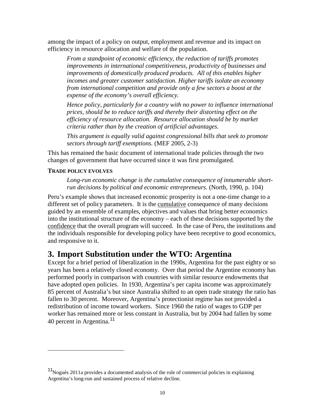among the impact of a policy on output, employment and revenue and its impact on efficiency in resource allocation and welfare of the population.

*From a standpoint of economic efficiency, the reduction of tariffs promotes improvements in international competitiveness, productivity of businesses and improvements of domestically produced products. All of this enables higher incomes and greater customer satisfaction. Higher tariffs isolate an economy from international competition and provide only a few sectors a boost at the expense of the economy's overall efficiency.* 

*Hence policy, particularly for a country with no power to influence international prices, should be to reduce tariffs and thereby their distorting effect on the efficiency of resource allocation. Resource allocation should be by market criteria rather than by the creation of artificial advantages.* 

*This argument is equally valid against congressional bills that seek to promote sectors through tariff exemptions.* (MEF 2005, 2-3)

This has remained the basic document of international trade policies through the two changes of government that have occurred since it was first promulgated.

#### <span id="page-14-0"></span>**TRADE POLICY EVOLVES**

 $\overline{a}$ 

*Long-run economic change is the cumulative consequence of innumerable shortrun decisions by political and economic entrepreneurs.* (North, 1990, p. 104)

Peru's example shows that increased economic prosperity is not a one-time change to a different set of policy parameters. It is the cumulative consequence of many decisions guided by an ensemble of examples, objectives and values that bring better economics into the institutional structure of the economy – each of these decisions supported by the confidence that the overall program will succeed. In the case of Peru, the institutions and the individuals responsible for developing policy have been receptive to good economics, and responsive to it.

## <span id="page-14-1"></span>**3. Import Substitution under the WTO: Argentina**

Except for a brief period of liberalization in the 1990s, Argentina for the past eighty or so years has been a relatively closed economy. Over that period the Argentine economy has performed poorly in comparison with countries with similar resource endowments that have adopted open policies. In 1930, Argentina's per capita income was approximately 85 percent of Australia's but since Australia shifted to an open trade strategy the ratio has fallen to 30 percent. Moreover, Argentina's protectionist regime has not provided a redistribution of income toward workers. Since 1960 the ratio of wages to GDP per worker has remained more or less constant in Australia, but by 2004 had fallen by some 40 percent in Argentina.<sup>[11](#page-14-2)</sup>

<span id="page-14-2"></span><sup>&</sup>lt;sup>11</sup>Nogués 2011a provides a documented analysis of the role of commercial policies in explaining Argentina's long-run and sustained process of relative decline.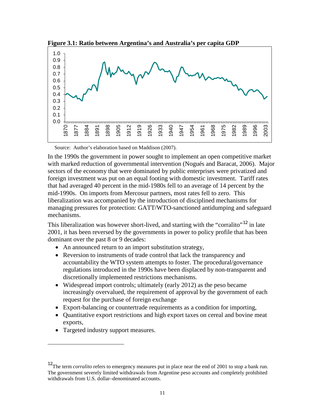

<span id="page-15-0"></span>**Figure 3.1: Ratio between Argentina's and Australia's per capita GDP** 

Source: Author's elaboration based on Maddison (2007).

In the 1990s the government in power sought to implement an open competitive market with marked reduction of governmental intervention (Nogués and Baracat, 2006). Major sectors of the economy that were dominated by public enterprises were privatized and foreign investment was put on an equal footing with domestic investment. Tariff rates that had averaged 40 percent in the mid-1980s fell to an average of 14 percent by the mid-1990s. On imports from Mercosur partners, most rates fell to zero. This liberalization was accompanied by the introduction of disciplined mechanisms for managing pressures for protection: GATT/WTO-sanctioned antidumping and safeguard mechanisms.

This liberalization was however short-lived, and starting with the "corralito"<sup>[12](#page-15-1)</sup> in late 2001, it has been reversed by the governments in power to policy profile that has been dominant over the past 8 or 9 decades:

- An announced return to an import substitution strategy,
- Reversion to instruments of trade control that lack the transparency and accountability the WTO system attempts to foster. The procedural/governance regulations introduced in the 1990s have been displaced by non-transparent and discretionally implemented restrictions mechanisms.
- Widespread import controls; ultimately (early 2012) as the peso became increasingly overvalued, the requirement of approval by the government of each request for the purchase of foreign exchange
- Export-balancing or countertrade requirements as a condition for importing,
- Quantitative export restrictions and high export taxes on cereal and bovine meat exports,
- Targeted industry support measures.

<span id="page-15-1"></span><sup>&</sup>lt;sup>12</sup>The term *corralito* refers to emergency measures put in place near the end of 2001 to stop a bank run. The government severely limited withdrawals from Argentine peso accounts and completely prohibited withdrawals from U.S. dollar–denominated accounts.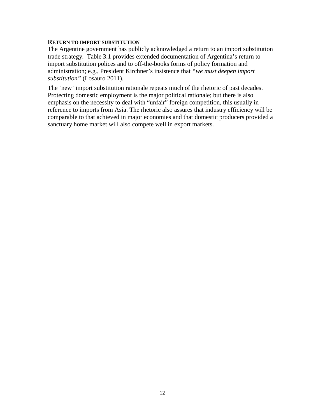#### <span id="page-16-0"></span>**RETURN TO IMPORT SUBSTITUTION**

The Argentine government has publicly acknowledged a return to an import substitution trade strategy. Table 3.1 provides extended documentation of Argentina's return to import substitution polices and to off-the-books forms of policy formation and administration; e.g., President Kirchner's insistence that *"we must deepen import substitution"* (Losauro 2011).

The 'new' import substitution rationale repeats much of the rhetoric of past decades. Protecting domestic employment is the major political rationale; but there is also emphasis on the necessity to deal with "unfair" foreign competition, this usually in reference to imports from Asia. The rhetoric also assures that industry efficiency will be comparable to that achieved in major economies and that domestic producers provided a sanctuary home market will also compete well in export markets.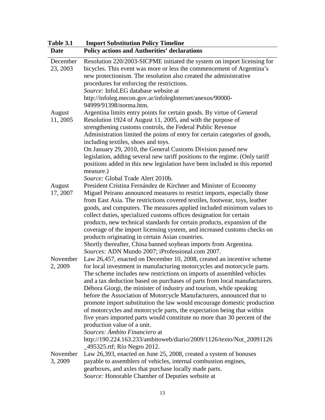<span id="page-17-0"></span>

| Table 3.1<br><b>Date</b> | <b>Import Substitution Policy Timeline</b><br><b>Policy actions and Authorities' declarations</b>                                                |
|--------------------------|--------------------------------------------------------------------------------------------------------------------------------------------------|
| December                 | Resolution 220/2003-SICPME initiated the system on import licensing for                                                                          |
| 23, 2003                 | bicycles. This event was more or less the commencement of Argentina's                                                                            |
|                          | new protectionism. The resolution also created the administrative                                                                                |
|                          | procedures for enforcing the restrictions.<br>Source: InfoLEG database website at                                                                |
|                          | http://infoleg.mecon.gov.ar/infolegInternet/anexos/90000-                                                                                        |
|                          | 94999/91398/norma.htm.                                                                                                                           |
| August                   | Argentina limits entry points for certain goods. By virtue of General                                                                            |
| 11, 2005                 | Resolution 1924 of August 11, 2005, and with the purpose of                                                                                      |
|                          | strengthening customs controls, the Federal Public Revenue                                                                                       |
|                          | Administration limited the points of entry for certain categories of goods,                                                                      |
|                          | including textiles, shoes and toys.                                                                                                              |
|                          | On January 29, 2010, the General Customs Division passed new<br>legislation, adding several new tariff positions to the regime. (Only tariff     |
|                          | positions added in this new legislation have been included in this reported                                                                      |
|                          | measure.)                                                                                                                                        |
|                          | Source: Global Trade Alert 2010b.                                                                                                                |
| August                   | President Cristina Fernández de Kirchner and Minister of Economy                                                                                 |
| 17, 2007                 | Miguel Peirano announced measures to restrict imports, especially those                                                                          |
|                          | from East Asia. The restrictions covered textiles, footwear, toys, leather                                                                       |
|                          | goods, and computers. The measures applied included minimum values to<br>collect duties, specialized customs offices designation for certain     |
|                          | products, new technical standards for certain products, expansion of the                                                                         |
|                          | coverage of the import licensing system, and increased customs checks on                                                                         |
|                          | products originating in certain Asian countries.                                                                                                 |
|                          | Shortly thereafter, China banned soybean imports from Argentina.                                                                                 |
|                          | Sources: ADN Mundo 2007; iProfessional.com 2007.                                                                                                 |
| November<br>2, 2009      | Law 26,457, enacted on December 10, 2008, created an incentive scheme<br>for local investment in manufacturing motorcycles and motorcycle parts. |
|                          | The scheme includes new restrictions on imports of assembled vehicles                                                                            |
|                          | and a tax deduction based on purchases of parts from local manufacturers.                                                                        |
|                          | Débora Giorgi, the minister of industry and tourism, while speaking                                                                              |
|                          | before the Association of Motorcycle Manufacturers, announced that to                                                                            |
|                          | promote import substitution the law would encourage domestic production                                                                          |
|                          | of motorcycles and motorcycle parts, the expectation being that within                                                                           |
|                          | five years imported parts would constitute no more than 30 percent of the<br>production value of a unit.                                         |
|                          | Sources: Ámbito Financiero at                                                                                                                    |
|                          | http://190.224.163.233/ambitoweb/diario/2009/1126/texto/Not_20091126                                                                             |
|                          | _495325.rtf; Río Negro 2012.                                                                                                                     |
| November                 | Law 26,393, enacted on June 25, 2008, created a system of bonuses                                                                                |
| 3, 2009                  | payable to assemblers of vehicles, internal combustion engines,                                                                                  |
|                          | gearboxes, and axles that purchase locally made parts.                                                                                           |
|                          | Source: Honorable Chamber of Deputies website at                                                                                                 |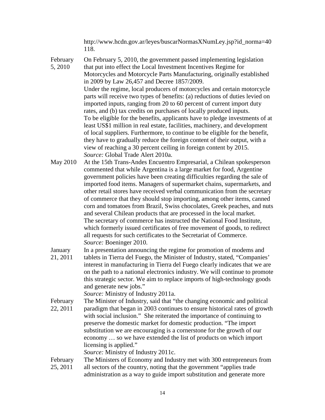http://www.hcdn.gov.ar/leyes/buscarNormasXNumLey.jsp?id\_norma=40 118.

- February 5, 2010 On February 5, 2010, the government passed implementing legislation that put into effect the Local Investment Incentives Regime for Motorcycles and Motorcycle Parts Manufacturing, originally established in 2009 by Law 26,457 and Decree 1857/2009. Under the regime, local producers of motorcycles and certain motorcycle parts will receive two types of benefits: (a) reductions of duties levied on imported inputs, ranging from 20 to 60 percent of current import duty rates, and (b) tax credits on purchases of locally produced inputs. To be eligible for the benefits, applicants have to pledge investments of at least US\$1 million in real estate, facilities, machinery, and development of local suppliers. Furthermore, to continue to be eligible for the benefit, they have to gradually reduce the foreign content of their output, with a view of reaching a 30 percent ceiling in foreign content by 2015. *Source:* Global Trade Alert 2010a.
- May 2010 At the 15th Trans-Andes Encuentro Empresarial, a Chilean spokesperson commented that while Argentina is a large market for food, Argentine government policies have been creating difficulties regarding the sale of imported food items. Managers of supermarket chains, supermarkets, and other retail stores have received verbal communication from the secretary of commerce that they should stop importing, among other items, canned corn and tomatoes from Brazil, Swiss chocolates, Greek peaches, and nuts and several Chilean products that are processed in the local market. The secretary of commerce has instructed the National Food Institute, which formerly issued certificates of free movement of goods, to redirect all requests for such certificates to the Secretariat of Commerce. *Source:* Boeninger 2010.
- January 21, 2011 In a presentation announcing the regime for promotion of modems and tablets in Tierra del Fuego, the Minister of Industry, stated, "Companies' interest in manufacturing in Tierra del Fuego clearly indicates that we are on the path to a national electronics industry. We will continue to promote this strategic sector. We aim to replace imports of high-technology goods and generate new jobs."

*Source:* Ministry of Industry 2011a.

February 22, 2011 The Minister of Industry, said that "the changing economic and political paradigm that began in 2003 continues to ensure historical rates of growth with social inclusion." She reiterated the importance of continuing to preserve the domestic market for domestic production. "The import substitution we are encouraging is a cornerstone for the growth of our economy … so we have extended the list of products on which import licensing is applied."

*Source:* Ministry of Industry 2011c.

February 25, 2011 The Ministers of Economy and Industry met with 300 entrepreneurs from all sectors of the country, noting that the government "applies trade administration as a way to guide import substitution and generate more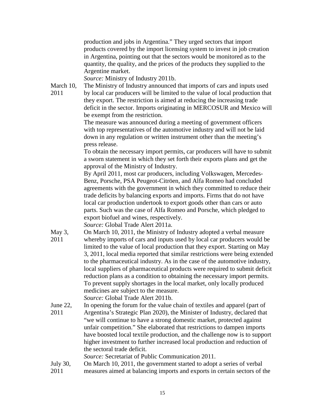production and jobs in Argentina." They urged sectors that import products covered by the import licensing system to invest in job creation in Argentina, pointing out that the sectors would be monitored as to the quantity, the quality, and the prices of the products they supplied to the Argentine market.

*Source:* Ministry of Industry 2011b.

March 10, 2011

The Ministry of Industry announced that imports of cars and inputs used by local car producers will be limited to the value of local production that they export. The restriction is aimed at reducing the increasing trade deficit in the sector. Imports originating in MERCOSUR and Mexico will be exempt from the restriction.

The measure was announced during a meeting of government officers with top representatives of the automotive industry and will not be laid down in any regulation or written instrument other than the meeting's press release.

To obtain the necessary import permits, car producers will have to submit a sworn statement in which they set forth their exports plans and get the approval of the Ministry of Industry.

By April 2011, most car producers, including Volkswagen, Mercedes-Benz, Porsche, PSA Peugeot-Citröen, and Alfa Romeo had concluded agreements with the government in which they committed to reduce their trade deficits by balancing exports and imports. Firms that do not have local car production undertook to export goods other than cars or auto parts. Such was the case of Alfa Romeo and Porsche, which pledged to export biofuel and wines, respectively.

*Source:* Global Trade Alert 2011a.

- May 3, 2011 On March 10, 2011, the Ministry of Industry adopted a verbal measure whereby imports of cars and inputs used by local car producers would be limited to the value of local production that they export. Starting on May 3, 2011, local media reported that similar restrictions were being extended to the pharmaceutical industry. As in the case of the automotive industry, local suppliers of pharmaceutical products were required to submit deficit reduction plans as a condition to obtaining the necessary import permits. To prevent supply shortages in the local market, only locally produced medicines are subject to the measure. *Source:* Global Trade Alert 2011b.
- June 22, 2011 In opening the forum for the value chain of textiles and apparel (part of Argentina's Strategic Plan 2020), the Minister of Industry, declared that "we will continue to have a strong domestic market, protected against unfair competition." She elaborated that restrictions to dampen imports have boosted local textile production, and the challenge now is to support higher investment to further increased local production and reduction of the sectoral trade deficit.

*Source:* Secretariat of Public Communication 2011.

- July 30, On March 10, 2011, the government started to adopt a series of verbal
- 2011 measures aimed at balancing imports and exports in certain sectors of the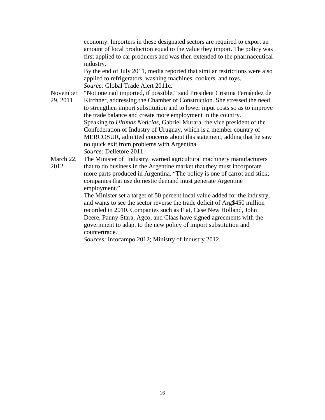|           | economy. Importers in these designated sectors are required to export an<br>amount of local production equal to the value they import. The policy was<br>first applied to car producers and was then extended to the pharmaceutical |
|-----------|-------------------------------------------------------------------------------------------------------------------------------------------------------------------------------------------------------------------------------------|
|           | industry.                                                                                                                                                                                                                           |
|           | By the end of July 2011, media reported that similar restrictions were also                                                                                                                                                         |
|           | applied to refrigerators, washing machines, cookers, and toys.                                                                                                                                                                      |
|           | Source: Global Trade Alert 2011c.                                                                                                                                                                                                   |
| November  | "Not one nail imported, if possible," said President Cristina Fernández de                                                                                                                                                          |
| 29, 2011  | Kirchner, addressing the Chamber of Construction. She stressed the need                                                                                                                                                             |
|           | to strengthen import substitution and to lower input costs so as to improve                                                                                                                                                         |
|           | the trade balance and create more employment in the country.                                                                                                                                                                        |
|           | Speaking to Ultimas Noticias, Gabriel Murara, the vice president of the                                                                                                                                                             |
|           | Confederation of Industry of Uruguay, which is a member country of                                                                                                                                                                  |
|           | MERCOSUR, admitted concerns about this statement, adding that he saw                                                                                                                                                                |
|           | no quick exit from problems with Argentina.                                                                                                                                                                                         |
|           | Source: Delletore 2011.                                                                                                                                                                                                             |
| March 22, | The Minister of Industry, warned agricultural machinery manufacturers                                                                                                                                                               |
| 2012      | that to do business in the Argentine market that they must incorporate                                                                                                                                                              |
|           | more parts produced in Argentina. "The policy is one of carrot and stick;                                                                                                                                                           |
|           | companies that use domestic demand must generate Argentine<br>employment."                                                                                                                                                          |
|           | The Minister set a target of 50 percent local value added for the industry,                                                                                                                                                         |
|           | and wants to see the sector reverse the trade deficit of Arg\$450 million                                                                                                                                                           |
|           | recorded in 2010. Companies such as Fiat, Case New Holland, John                                                                                                                                                                    |
|           | Deere, Pauny-Stara, Agco, and Claas have signed agreements with the                                                                                                                                                                 |
|           | government to adapt to the new policy of import substitution and                                                                                                                                                                    |
|           | countertrade.                                                                                                                                                                                                                       |
|           | Sources: Infocampo 2012; Ministry of Industry 2012.                                                                                                                                                                                 |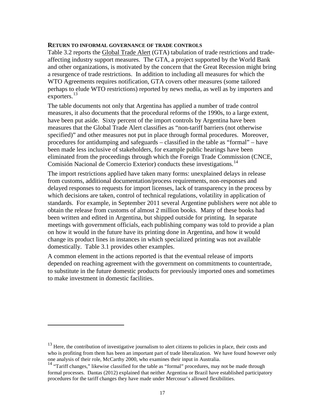#### <span id="page-21-0"></span>**RETURN TO INFORMAL GOVERNANCE OF TRADE CONTROLS**

Table 3.2 reports the Global Trade Alert (GTA) tabulation of trade restrictions and tradeaffecting industry support measures. The GTA, a project supported by the World Bank and other organizations, is motivated by the concern that the Great Recession might bring a resurgence of trade restrictions. In addition to including all measures for which the WTO Agreements requires notification, GTA covers other measures (some tailored perhaps to elude WTO restrictions) reported by news media, as well as by importers and exporters.<sup>[13](#page-21-1)</sup>

The table documents not only that Argentina has applied a number of trade control measures, it also documents that the procedural reforms of the 1990s, to a large extent, have been put aside. Sixty percent of the import controls by Argentina have been measures that the Global Trade Alert classifies as "non-tariff barriers (not otherwise specified)" and other measures not put in place through formal procedures. Moreover, procedures for antidumping and safeguards – classified in the table as "formal" – have been made less inclusive of stakeholders, for example public hearings have been eliminated from the proceedings through which the Foreign Trade Commission (CNCE, Comisión Nacional de Comercio Exterior) conducts these investigations.<sup>[14](#page-21-2)</sup>

The import restrictions applied have taken many forms: unexplained delays in release from customs, additional documentation/process requirements, non-responses and delayed responses to requests for import licenses, lack of transparency in the process by which decisions are taken, control of technical regulations, volatility in application of standards. For example, in September 2011 several Argentine publishers were not able to obtain the release from customs of almost 2 million books. Many of these books had been written and edited in Argentina, but shipped outside for printing. In separate meetings with government officials, each publishing company was told to provide a plan on how it would in the future have its printing done in Argentina, and how it would change its product lines in instances in which specialized printing was not available domestically. Table 3.1 provides other examples.

A common element in the actions reported is that the eventual release of imports depended on reaching agreement with the government on commitments to countertrade, to substitute in the future domestic products for previously imported ones and sometimes to make investment in domestic facilities.

<span id="page-21-1"></span> $13$  Here, the contribution of investigative journalism to alert citizens to policies in place, their costs and who is profiting from them has been an important part of trade liberalization. We have found however only one analysis of their role, McCarthy 2000, who examines their input in Australia.

<span id="page-21-2"></span><sup>&</sup>lt;sup>14</sup> "Tariff changes," likewise classified for the table as "formal" procedures, may not be made through formal processes. Dantas (2012) explained that neither Argentina or Brazil have established participatory procedures for the tariff changes they have made under Mercosur's allowed flexibilities.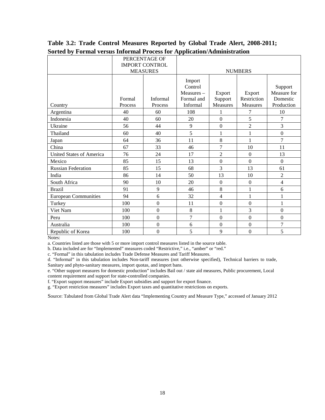|                             | PERCENTAGE OF                            |                  |                                                 |                   |                       |                                    |
|-----------------------------|------------------------------------------|------------------|-------------------------------------------------|-------------------|-----------------------|------------------------------------|
|                             | <b>IMPORT CONTROL</b><br><b>MEASURES</b> |                  |                                                 |                   |                       |                                    |
|                             |                                          |                  | <b>NUMBERS</b>                                  |                   |                       |                                    |
|                             | Formal                                   | Informal         | Import<br>Control<br>$Measures -$<br>Formal and | Export<br>Support | Export<br>Restriction | Support<br>Measure for<br>Domestic |
| Country                     | Process                                  | Process          | Informal                                        | Measures          | <b>Measures</b>       | Production                         |
| Argentina                   | 40                                       | 60               | 108                                             | 1                 | 7                     | 10                                 |
| Indonesia                   | 40                                       | 60               | 20                                              | $\theta$          | 5                     | 7                                  |
| Ukraine                     | 56                                       | 44               | 9                                               | $\boldsymbol{0}$  | $\overline{2}$        | 3                                  |
| Thailand                    | 60                                       | 40               | 5                                               | 1                 | 1                     | $\overline{0}$                     |
| Japan                       | 64                                       | 36               | 11                                              | 8                 | 1                     | 7                                  |
| China                       | 67                                       | 33               | 46                                              | $\overline{7}$    | 10                    | 11                                 |
| United States of America    | 76                                       | 24               | 17                                              | $\overline{2}$    | $\Omega$              | 13                                 |
| Mexico                      | 85                                       | 15               | 13                                              | $\boldsymbol{0}$  | $\mathbf{0}$          | $\boldsymbol{0}$                   |
| <b>Russian Federation</b>   | 85                                       | 15               | 68                                              | 3                 | 13                    | 61                                 |
| India                       | 86                                       | 14               | 50                                              | 13                | 10                    | $\overline{2}$                     |
| South Africa                | 90                                       | 10               | 20                                              | $\boldsymbol{0}$  | $\mathbf{0}$          | $\overline{4}$                     |
| <b>Brazil</b>               | 91                                       | 9                | 46                                              | 8                 | 1                     | 6                                  |
| <b>European Communities</b> | 94                                       | 6                | 32                                              | $\overline{4}$    | 1                     | $\mathbf{1}$                       |
| Turkey                      | 100                                      | $\mathbf{0}$     | 11                                              | $\boldsymbol{0}$  | $\mathbf{0}$          | 1                                  |
| Viet Nam                    | 100                                      | $\boldsymbol{0}$ | 8                                               | 1                 | 3                     | $\boldsymbol{0}$                   |
| Peru                        | 100                                      | $\boldsymbol{0}$ | 7                                               | $\boldsymbol{0}$  | $\mathbf{0}$          | $\boldsymbol{0}$                   |
| Australia                   | 100                                      | $\boldsymbol{0}$ | 6                                               | $\boldsymbol{0}$  | $\mathbf{0}$          | $\overline{7}$                     |
| Republic of Korea           | 100                                      | $\boldsymbol{0}$ | 5                                               | 9                 | $\mathbf{0}$          | 5                                  |

#### <span id="page-22-0"></span>**Table 3.2: Trade Control Measures Reported by Global Trade Alert, 2008-2011; Sorted by Formal versus Informal Process for Application/Administration**

Notes:

a. Countries listed are those with 5 or more import control measures listed in the source table.

b. Data included are for "Implemented" measures coded "Restrictive," i.e., "amber" or "red."

c. "Formal" in this tabulation includes Trade Defense Measures and Tariff Measures.

d. "Informal" in this tabulation includes Non-tariff measures (not otherwise specified), Technical barriers to trade, Sanitary and phyto-sanitary measures, import quotas, and import bans.

e. "Other support measures for domestic production" includes Bail out / state aid measures, Public procurement, Local content requirement and support for state-controlled companies.

f. "Export support measures" include Export subsidies and support for export finance.

g. "Export restriction measures" includes Export taxes and quantitative restrictions on exports.

Source: Tabulated from Global Trade Alert data "Implementing Country and Measure Type," accessed of January 2012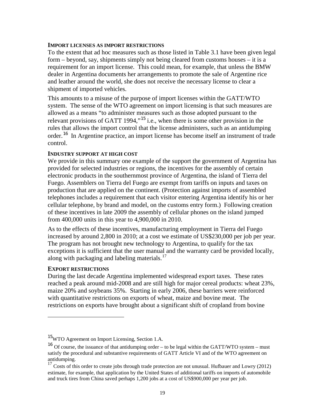#### <span id="page-23-0"></span>**IMPORT LICENSES AS IMPORT RESTRICTIONS**

To the extent that ad hoc measures such as those listed in Table 3.1 have been given legal form – beyond, say, shipments simply not being cleared from customs houses – it is a requirement for an import license. This could mean, for example, that unless the BMW dealer in Argentina documents her arrangements to promote the sale of Argentine rice and leather around the world, she does not receive the necessary license to clear a shipment of imported vehicles.

This amounts to a misuse of the purpose of import licenses within the GATT/WTO system. The sense of the WTO agreement on import licensing is that such measures are allowed as a means "to administer measures such as those adopted pursuant to the relevant provisions of GATT 1994,"[15](#page-23-3) i.e., when there is some other provision in the rules that allows the import control that the license administers, such as an antidumping order.<sup>[16](#page-23-4)</sup> In Argentine practice, an import license has become itself an instrument of trade control.

#### <span id="page-23-1"></span>**INDUSTRY SUPPORT AT HIGH COST**

We provide in this summary one example of the support the government of Argentina has provided for selected industries or regions, the incentives for the assembly of certain electronic products in the southernmost province of Argentina, the island of Tierra del Fuego. Assemblers on Tierra del Fuego are exempt from tariffs on inputs and taxes on production that are applied on the continent. (Protection against imports of assembled telephones includes a requirement that each visitor entering Argentina identify his or her cellular telephone, by brand and model, on the customs entry form.) Following creation of these incentives in late 2009 the assembly of cellular phones on the island jumped from 400,000 units in this year to 4,900,000 in 2010.

As to the effects of these incentives, manufacturing employment in Tierra del Fuego increased by around 2,800 in 2010; at a cost we estimate of US\$230,000 per job per year. The program has not brought new technology to Argentina, to qualify for the tax exceptions it is sufficient that the user manual and the warranty card be provided locally, along with packaging and labeling materials.<sup>[17](#page-23-5)</sup>

#### <span id="page-23-2"></span>**EXPORT RESTRICTIONS**

 $\overline{a}$ 

During the last decade Argentina implemented widespread export taxes. These rates reached a peak around mid-2008 and are still high for major cereal products: wheat 23%, maize 20% and soybeans 35%. Starting in early 2006, these barriers were reinforced with quantitative restrictions on exports of wheat, maize and bovine meat. The restrictions on exports have brought about a significant shift of cropland from bovine

<span id="page-23-3"></span><sup>15</sup>WTO Agreement on Import Licensing, Section 1.A.

<span id="page-23-4"></span> $16$  Of course, the issuance of that antidumping order – to be legal within the GATT/WTO system – must satisfy the procedural and substantive requirements of GATT Article VI and of the WTO agreement on antidumping.

<span id="page-23-5"></span> $\frac{17}{17}$  Costs of this order to create jobs through trade protection are not unusual. Hufbauer and Lowry (2012) estimate, for example, that application by the United States of additional tariffs on imports of automobile and truck tires from China saved perhaps 1,200 jobs at a cost of US\$900,000 per year per job.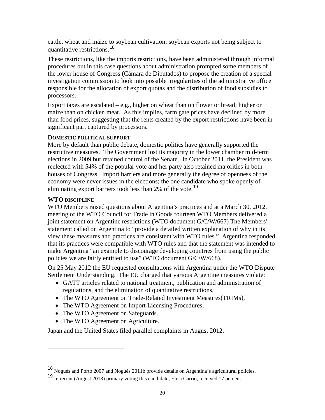cattle, wheat and maize to soybean cultivation; soybean exports not being subject to quantitative restrictions.<sup>[18](#page-24-2)</sup>

These restrictions, like the imports restrictions, have been administered through informal procedures but in this case questions about administration prompted some members of the lower house of Congress (Cámara de Diputados) to propose the creation of a special investigation commission to look into possible irregularities of the administrative office responsible for the allocation of export quotas and the distribution of food subsidies to processors.

Export taxes are escalated  $-e.g.,$  higher on wheat than on flower or bread; higher on maize than on chicken meat. As this implies, farm gate prices have declined by more than food prices, suggesting that the rents created by the export restrictions have been in significant part captured by processors.

#### <span id="page-24-0"></span>**DOMESTIC POLITICAL SUPPORT**

More by default than public debate, domestic politics have generally supported the restrictive measures. The Government lost its majority in the lower chamber mid-term elections in 2009 but retained control of the Senate. In October 2011, the President was reelected with 54% of the popular vote and her party also retained majorities in both houses of Congress. Import barriers and more generally the degree of openness of the economy were never issues in the elections; the one candidate who spoke openly of eliminating export barriers took less than 2% of the vote.<sup>[19](#page-24-3)</sup>

#### <span id="page-24-1"></span>**WTO DISCIPLINE**

 $\overline{a}$ 

WTO Members raised questions about Argentina's practices and at a March 30, 2012, meeting of the WTO Council for Trade in Goods fourteen WTO Members delivered a joint statement on Argentine restrictions.(WTO document G/C/W/667) The Members' statement called on Argentina to "provide a detailed written explanation of why in its view these measures and practices are consistent with WTO rules." Argentina responded that its practices were compatible with WTO rules and that the statement was intended to make Argentina "an example to discourage developing countries from using the public policies we are fairly entitled to use" (WTO document G/C/W/668).

On 25 May 2012 the EU requested consultations with Argentina under the WTO Dispute Settlement Understanding. The EU charged that various Argentine measures violate:

- GATT articles related to national treatment, publication and administration of regulations, and the elimination of quantitative restrictions,
- The WTO Agreement on Trade-Related Investment Measures(TRIMs),
- The WTO Agreement on Import Licensing Procedures,
- The WTO Agreement on Safeguards.
- The WTO Agreement on Agriculture.

Japan and the United States filed parallel complaints in August 2012.

<span id="page-24-2"></span><sup>18</sup> Nogués and Porto 2007 and Nogués 2011b provide details on Argentina's agricultural policies.

<span id="page-24-3"></span><sup>19</sup> In recent (August 2013) primary voting this candidate, Elisa Carrió, received 17 percent.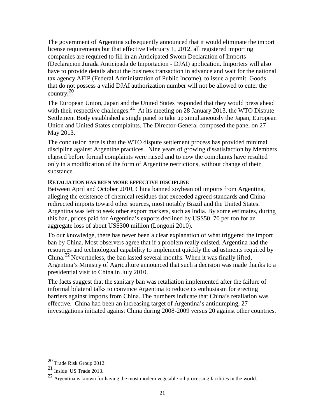The government of Argentina subsequently announced that it would eliminate the import license requirements but that effective February 1, 2012, all registered importing companies are required to fill in an Anticipated Sworn Declaration of Imports (Declaracion Jurada Anticipada de Importacion - DJAI) application. Importers will also have to provide details about the business transaction in advance and wait for the national tax agency AFIP (Federal Administration of Public Income), to issue a permit. Goods that do not possess a valid DJAI authorization number will not be allowed to enter the country. [20](#page-25-1)

The European Union, Japan and the United States responded that they would press ahead with their respective challenges.<sup>[21](#page-25-2)</sup> At its meeting on 28 January 2013, the WTO Dispute Settlement Body established a single panel to take up simultaneously the Japan, European Union and United States complaints. The Director-General composed the panel on 27 May 2013.

The conclusion here is that the WTO dispute settlement process has provided minimal discipline against Argentine practices. Nine years of growing dissatisfaction by Members elapsed before formal complaints were raised and to now the complaints have resulted only in a modification of the form of Argentine restrictions, without change of their substance.

#### <span id="page-25-0"></span>**RETALIATION HAS BEEN MORE EFFECTIVE DISCIPLINE**

Between April and October 2010, China banned soybean oil imports from Argentina, alleging the existence of chemical residues that exceeded agreed standards and China redirected imports toward other sources, most notably Brazil and the United States. Argentina was left to seek other export markets, such as India. By some estimates, during this ban, prices paid for Argentina's exports declined by US\$50–70 per ton for an aggregate loss of about US\$300 million (Longoni 2010).

To our knowledge, there has never been a clear explanation of what triggered the import ban by China. Most observers agree that if a problem really existed, Argentina had the resources and technological capability to implement quickly the adjustments required by China.[22](#page-25-3) Nevertheless, the ban lasted several months. When it was finally lifted, Argentina's Ministry of Agriculture announced that such a decision was made thanks to a presidential visit to China in July 2010.

The facts suggest that the sanitary ban was retaliation implemented after the failure of informal bilateral talks to convince Argentina to reduce its enthusiasm for erecting barriers against imports from China. The numbers indicate that China's retaliation was effective. China had been an increasing target of Argentina's antidumping, 27 investigations initiated against China during 2008-2009 versus 20 against other countries.

<span id="page-25-1"></span><sup>20</sup> Trade Risk Group 2012.

<span id="page-25-2"></span><sup>21</sup> Inside US Trade 2013.

<span id="page-25-3"></span><sup>22</sup> Argentina is known for having the most modern vegetable-oil processing facilities in the world.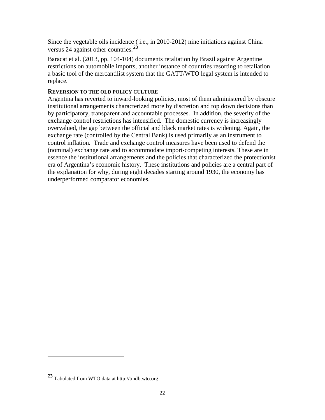Since the vegetable oils incidence ( i.e., in 2010-2012) nine initiations against China versus 24 against other countries. $^{23}$  $^{23}$  $^{23}$ 

Baracat et al. (2013, pp. 104-104) documents retaliation by Brazil against Argentine restrictions on automobile imports, another instance of countries resorting to retaliation – a basic tool of the mercantilist system that the GATT/WTO legal system is intended to replace.

#### <span id="page-26-0"></span>**REVERSION TO THE OLD POLICY CULTURE**

Argentina has reverted to inward-looking policies, most of them administered by obscure institutional arrangements characterized more by discretion and top down decisions than by participatory, transparent and accountable processes. In addition, the severity of the exchange control restrictions has intensified. The domestic currency is increasingly overvalued, the gap between the official and black market rates is widening. Again, the exchange rate (controlled by the Central Bank) is used primarily as an instrument to control inflation. Trade and exchange control measures have been used to defend the (nominal) exchange rate and to accommodate import-competing interests. These are in essence the institutional arrangements and the policies that characterized the protectionist era of Argentina's economic history. These institutions and policies are a central part of the explanation for why, during eight decades starting around 1930, the economy has underperformed comparator economies.

<span id="page-26-1"></span><sup>23</sup> Tabulated from WTO data at http://tmdb.wto.org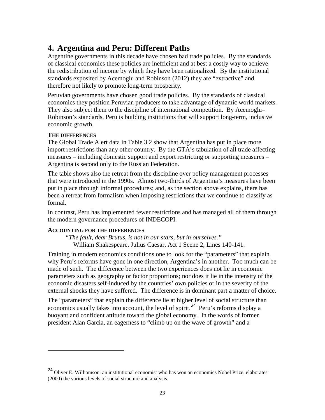# <span id="page-27-0"></span>**4. Argentina and Peru: Different Paths**

Argentine governments in this decade have chosen bad trade policies. By the standards of classical economics these policies are inefficient and at best a costly way to achieve the redistribution of income by which they have been rationalized. By the institutional standards exposited by Acemoglu and Robinson (2012) they are "extractive" and therefore not likely to promote long-term prosperity.

Peruvian governments have chosen good trade policies. By the standards of classical economics they position Peruvian producers to take advantage of dynamic world markets. They also subject them to the discipline of international competition. By Acemoglu– Robinson's standards, Peru is building institutions that will support long-term, inclusive economic growth.

#### <span id="page-27-1"></span>**THE DIFFERENCES**

 $\overline{a}$ 

The Global Trade Alert data in Table 3.2 show that Argentina has put in place more import restrictions than any other country. By the GTA's tabulation of all trade affecting measures – including domestic support and export restricting or supporting measures – Argentina is second only to the Russian Federation.

The table shows also the retreat from the discipline over policy management processes that were introduced in the 1990s. Almost two-thirds of Argentina's measures have been put in place through informal procedures; and, as the section above explains, there has been a retreat from formalism when imposing restrictions that we continue to classify as formal.

In contrast, Peru has implemented fewer restrictions and has managed all of them through the modern governance procedures of INDECOPI.

#### <span id="page-27-2"></span>**ACCOUNTING FOR THE DIFFERENCES**

 *"The fault, dear Brutus, is not in our stars, but in ourselves."*  William Shakespeare, Julius Caesar, Act 1 Scene 2, Lines 140-141.

Training in modern economics conditions one to look for the "parameters" that explain why Peru's reforms have gone in one direction, Argentina's in another. Too much can be made of such. The difference between the two experiences does not lie in economic parameters such as geography or factor proportions; nor does it lie in the intensity of the economic disasters self-induced by the countries' own policies or in the severity of the external shocks they have suffered. The difference is in dominant part a matter of choice.

The "parameters" that explain the difference lie at higher level of social structure than economics usually takes into account, the level of spirit.<sup>[24](#page-27-3)</sup> Peru's reforms display a buoyant and confident attitude toward the global economy. In the words of former president Alan Garcia, an eagerness to "climb up on the wave of growth" and a

<span id="page-27-3"></span><sup>24</sup> Oliver E. Williamson, an institutional economist who has won an economics Nobel Prize, elaborates (2000) the various levels of social structure and analysis.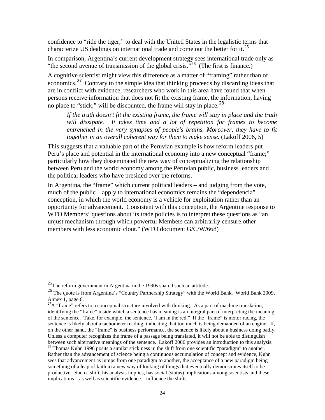confidence to "ride the tiger;" to deal with the United States in the legalistic terms that characterize US dealings on international trade and come out the better for it.<sup>[25](#page-28-0)</sup>

In comparison, Argentina's current development strategy sees international trade only as "the second avenue of transmission of the global crisis."[26](#page-28-1) (The first is finance.)

A cognitive scientist might view this difference as a matter of "framing" rather than of economics.<sup>[27](#page-28-2)</sup> Contrary to the simple idea that thinking proceeds by discarding ideas that are in conflict with evidence, researchers who work in this area have found that when persons receive information that does not fit the existing frame, the information, having no place to "stick," will be discounted, the frame will stay in place.<sup>[28](#page-28-3)</sup>

*If the truth doesn't fit the existing frame, the frame will stay in place and the truth will dissipate. It takes time and a lot of repetition for frames to become entrenched in the very synapses of people's brains. Moreover, they have to fit together in an overall coherent way for them to make sense.* (Lakoff 2006, 5)

This suggests that a valuable part of the Peruvian example is how reform leaders put Peru's place and potential in the international economy into a new conceptual "frame;" particularly how they disseminated the new way of conceptualizing the relationship between Peru and the world economy among the Peruvian public, business leaders and the political leaders who have presided over the reforms.

In Argentina, the "frame" which current political leaders – and judging from the vote, much of the public – apply to international economics remains the "dependencia" conception, in which the world economy is a vehicle for exploitation rather than an opportunity for advancement. Consistent with this conception, the Argentine response to WTO Members' questions about its trade policies is to interpret these questions as "an unjust mechanism through which powerful Members can arbitrarily censure other members with less economic clout." (WTO document G/C/W/668)

<span id="page-28-1"></span><span id="page-28-0"></span><sup>&</sup>lt;sup>25</sup>The reform government in Argentina in the 1990s shared such an attitude.<br><sup>26</sup> The quote is from Argentina's "Country Partnership Strategy" with the World Bank. World Bank 2009, Annex 1, page 6.

<span id="page-28-2"></span><sup>&</sup>lt;sup>27</sup>A "frame" refers to a conceptual structure involved with thinking. As a part of machine translation, identifying the "frame" inside which a sentence has meaning is an integral part of interpreting the meaning of the sentence. Take, for example, the sentence, 'I am in the red." If the "frame" is motor racing, the sentence is likely about a tachometer reading, indicating that too much is being demanded of an engine. If, on the other hand, the "frame" is business performance, the sentence is likely about a business doing badly. Unless a computer recognizes the frame of a passage being translated, it will not be able to distinguish<br>between such alternative meanings of the sentence. Lakoff 2006 provides an introduction to this analysis.

<span id="page-28-3"></span> $^{28}$  Thomas Kuhn 1996 posits a similar stickiness in the shift from one scientific "paradigm" to another. Rather than the advancement of science being a continuous accumulation of concept and evidence, Kuhn sees that advancement as jumps from one paradigm to another, the acceptance of a new paradigm being something of a leap of faith to a new way of looking of things that eventually demonstrates itself to be productive. Such a shift, his analysis implies, has social (status) implications among scientists and these implications – as well as scientific evidence – influence the shifts.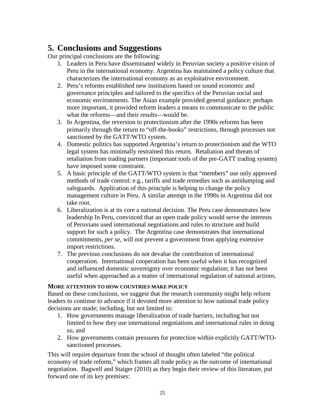# <span id="page-29-0"></span>**5. Conclusions and Suggestions**

Our principal conclusions are the following:

- 1. Leaders in Peru have disseminated widely in Peruvian society a positive vision of Peru in the international economy. Argentina has maintained a policy culture that characterizes the international economy as an exploitative environment.
- 2. Peru's reforms established new institutions based on sound economic and governance principles and tailored to the specifics of the Peruvian social and economic environments. The Asian example provided general guidance; perhaps more important, it provided reform leaders a means to communicate to the public what the reforms—and their results—would be.
- 3. In Argentina, the reversion to protectionism after the 1990s reforms has been primarily through the return to "off-the-books" restrictions, through processes not sanctioned by the GATT/WTO system.
- 4. Domestic politics has supported Argentina's return to protectionism and the WTO legal system has minimally restrained this return. Retaliation and threats of retaliation from trading partners (important tools of the pre-GATT trading system) have imposed some constraint.
- 5. A basic principle of the GATT/WTO system is that "members" use only approved methods of trade control: e.g., tariffs and trade remedies such as antidumping and safeguards. Application of this principle is helping to change the policy management culture in Peru. A similar attempt in the 1990s in Argentina did not take root.
- 6. Liberalization is at its core a national decision. The Peru case demonstrates how leadership In Peru, convinced that an open trade policy would serve the interests of Peruvians used international negotiations and rules to structure and build support for such a policy. The Argentina case demonstrates that international commitments, *per se*, will not prevent a government from applying extensive import restrictions.
- 7. The previous conclusions do not devalue the contribution of international cooperation. International cooperation has been useful when it has recognized and influenced domestic sovereignty over economic regulation; it has not been useful when approached as a matter of international regulation of national actions.

#### <span id="page-29-1"></span>**MORE ATTENTION TO HOW COUNTRIES MAKE POLICY**

Based on these conclusions, we suggest that the research community might help reform leaders to continue to advance if it devoted more attention to how national trade policy decisions are made; including, but not limited to:

- 1. How governments manage liberalization of trade barriers, including but not limited to how they use international negotiations and international rules in doing so, and
- 2. How governments contain pressures for protection within explicitly GATT/WTOsanctioned processes.

This will require departure from the school of thought often labeled "the political economy of trade reform," which frames all trade policy as the outcome of international negotiation. Bagwell and Staiger (2010) as they begin their review of this literature, put forward one of its key premises: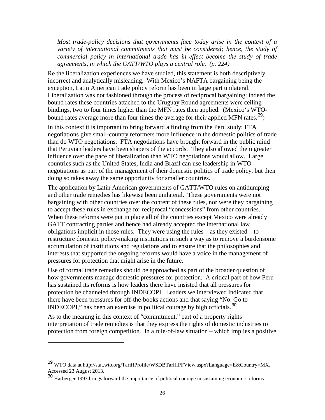*Most trade-policy decisions that governments face today arise in the context of a variety of international commitments that must be considered; hence, the study of commercial policy in international trade has in effect become the study of trade agreements, in which the GATT/WTO plays a central role. (p. 224)* 

Re the liberalization experiences we have studied, this statement is both descriptively incorrect and analytically misleading. With Mexico's NAFTA bargaining being the exception, Latin American trade policy reform has been in large part unilateral. Liberalization was not fashioned through the process of reciprocal bargaining; indeed the bound rates these countries attached to the Uruguay Round agreements were ceiling bindings, two to four times higher than the MFN rates then applied. (Mexico's WTO-bound rates average more than four times the average for their applied MFN rates.<sup>[29](#page-30-0)</sup>)

In this context it is important to bring forward a finding from the Peru study: FTA negotiations give small-country reformers more influence in the domestic politics of trade than do WTO negotiations. FTA negotiations have brought forward in the public mind that Peruvian leaders have been shapers of the accords. They also allowed them greater influence over the pace of liberalization than WTO negotiations would allow. Large countries such as the United States, India and Brazil can use leadership in WTO negotiations as part of the management of their domestic politics of trade policy, but their doing so takes away the same opportunity for smaller countries.

The application by Latin American governments of GATT/WTO rules on antidumping and other trade remedies has likewise been unilateral. These governments were not bargaining with other countries over the content of these rules, nor were they bargaining to accept these rules in exchange for reciprocal "concessions" from other countries. When these reforms were put in place all of the countries except Mexico were already GATT contracting parties and hence had already accepted the international law obligations implicit in those rules. They were using the rules – as they existed – to restructure domestic policy-making institutions in such a way as to remove a burdensome accumulation of institutions and regulations and to ensure that the philosophies and interests that supported the ongoing reforms would have a voice in the management of pressures for protection that might arise in the future.

Use of formal trade remedies should be approached as part of the broader question of how governments manage domestic pressures for protection. A critical part of how Peru has sustained its reforms is how leaders there have insisted that all pressures for protection be channeled through INDECOPI. Leaders we interviewed indicated that there have been pressures for off-the-books actions and that saying "No. Go to INDECOPI," has been an exercise in political courage by high officials.[30](#page-30-1)

As to the meaning in this context of "commitment," part of a property rights interpretation of trade remedies is that they express the rights of domestic industries to protection from foreign competition. In a rule-of-law situation – which implies a positive

<span id="page-30-0"></span><sup>29</sup> WTO data at [http://stat.wto.org/TariffProfile/WSDBTariffPFView.aspx?Language=E&Country=MX.](http://stat.wto.org/TariffProfile/WSDBTariffPFView.aspx?Language=E&Country=MX) Accessed 23 August 2013.

<span id="page-30-1"></span><sup>30</sup> Harberger 1993 brings forward the importance of political courage in sustaining economic reforms.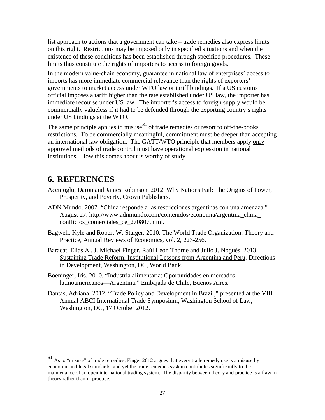list approach to actions that a government can take – trade remedies also express limits on this right. Restrictions may be imposed only in specified situations and when the existence of these conditions has been established through specified procedures. These limits thus constitute the rights of importers to access to foreign goods.

In the modern value-chain economy, guarantee in national law of enterprises' access to imports has more immediate commercial relevance than the rights of exporters' governments to market access under WTO law or tariff bindings. If a US customs official imposes a tariff higher than the rate established under US law, the importer has immediate recourse under US law. The importer's access to foreign supply would be commercially valueless if it had to be defended through the exporting country's rights under US bindings at the WTO.

The same principle applies to misuse $31$  of trade remedies or resort to off-the-books restrictions. To be commercially meaningful, commitment must be deeper than accepting an international law obligation. The GATT/WTO principle that members apply only approved methods of trade control must have operational expression in national institutions. How this comes about is worthy of study.

### <span id="page-31-0"></span>**6. REFERENCES**

- Acemoglu, Daron and James Robinson. 2012. Why Nations Fail: The Origins of Power, Prosperity, and Poverty, Crown Publishers.
- ADN Mundo. 2007. "China responde a las restricciones argentinas con una amenaza." August 27. http://www.adnmundo.com/contenidos/economia/argentina\_china\_ conflictos\_comerciales\_ce\_270807.html.
- Bagwell, Kyle and Robert W. Staiger. 2010. The World Trade Organization: Theory and Practice, Annual Reviews of Economics, vol. 2, 223-256.
- Baracat, Elías A., J. Michael Finger, Raúl León Thorne and Julio J. Nogués. 2013. Sustaining Trade Reform: Institutional Lessons from Argentina and Peru. Directions in Development, Washington, DC, World Bank.
- Boeninger, Iris. 2010. "Industria alimentaria: Oportunidades en mercados latinoamericanos—Argentina." Embajada de Chile, Buenos Aires.
- Dantas, Adriana. 2012. "Trade Policy and Development in Brazil," presented at the VIII Annual ABCI International Trade Symposium, Washington School of Law, Washington, DC, 17 October 2012.

<span id="page-31-1"></span><sup>31</sup> As to "misuse" of trade remedies, Finger 2012 argues that every trade remedy use is a misuse by economic and legal standards, and yet the trade remedies system contributes significantly to the maintenance of an open international trading system. The disparity between theory and practice is a flaw in theory rather than in practice.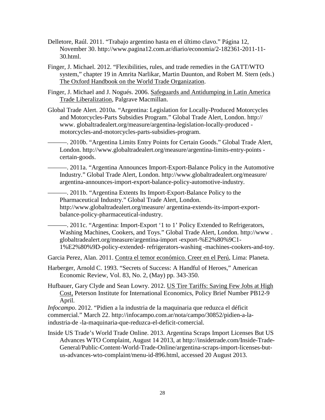- Delletore, Raúl. 2011. "Trabajo argentino hasta en el último clavo." Página 12, November 30. http://www.pagina12.com.ar/diario/economia/2-182361-2011-11- 30.html.
- Finger, J. Michael. 2012. "Flexibilities, rules, and trade remedies in the GATT/WTO system," chapter 19 in Amrita Narlikar, Martin Daunton, and Robert M. Stern (eds.) The Oxford Handbook on the World Trade Organization.

Finger, J. Michael and J. Nogués. 2006. Safeguards and Antidumping in Latin America Trade Liberalization, Palgrave Macmillan.

Global Trade Alert. 2010a. "Argentina: Legislation for Locally-Produced Motorcycles and Motorcycles-Parts Subsidies Program." Global Trade Alert, London. http:// www. globaltradealert.org/measure/argentina-legislation-locally-produced motorcycles-and-motorcycles-parts-subsidies-program.

———. 2010b. "Argentina Limits Entry Points for Certain Goods." Global Trade Alert, London. http://www.globaltradealert.org/measure/argentina-limits-entry-points certain-goods.

———. 2011a. "Argentina Announces Import-Export-Balance Policy in the Automotive Industry." Global Trade Alert, London. http://www.globaltradealert.org/measure/ argentina-announces-import-export-balance-policy-automotive-industry.

———. 2011b. "Argentina Extents Its Import-Export-Balance Policy to the Pharmaceutical Industry." Global Trade Alert, London. http://www.globaltradealert.org/measure/ argentina-extends-its-import-exportbalance-policy-pharmaceutical-industry.

———. 2011c. "Argentina: Import-Export '1 to 1' Policy Extended to Refrigerators, Washing Machines, Cookers, and Toys." Global Trade Alert, London. http://www . globaltradealert.org/measure/argentina-import -export-%E2%80%9C1- 1%E2%80%9D-policy-extended- refrigerators-washing -machines-cookers-and-toy.

Garcia Perez, Alan. 2011. Contra el temor económico. Creer en el Perú, Lima: Planeta.

Harberger, Arnold C. 1993. "Secrets of Success: A Handful of Heroes," American Economic Review, Vol. 83, No. 2, (May) pp. 343-350.

Hufbauer, Gary Clyde and Sean Lowry. 2012. US Tire Tariffs: Saving Few Jobs at High Cost, Peterson Institute for International Economics, Policy Brief Number PB12-9 April.

*Infocampo*. 2012. "Pidien a la industria de la maquinaria que reduzca el déficit commercial." March 22. http://infocampo.com.ar/nota/campo/30852/pidien-a-laindustria-de -la-maquinaria-que-reduzca-el-deficit-comercial.

Inside US Trade's World Trade Online. 2013. Argentina Scraps Import Licenses But US Advances WTO Complaint, August 14 2013, at http://insidetrade.com/Inside-Trade-General/Public-Content-World-Trade-Online/argentina-scraps-import-licenses-butus-advances-wto-complaint/menu-id-896.html, accessed 20 August 2013.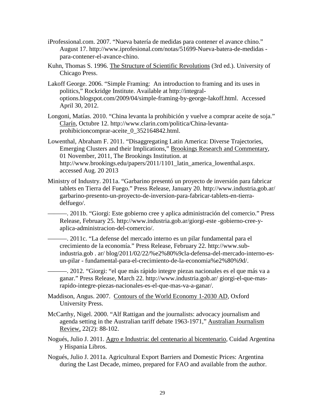- iProfessional.com. 2007. "Nueva batería de medidas para contener el avance chino." August 17. http://www.iprofesional.com/notas/51699-Nueva-batera-de-medidas para-contener-el-avance-chino.
- Kuhn, Thomas S. 1996. The Structure of Scientific Revolutions (3rd ed.). University of Chicago Press.
- Lakoff George. 2006. "Simple Framing: An introduction to framing and its uses in politics," Rockridge Institute. Available at http://integraloptions.blogspot.com/2009/04/simple-framing-by-george-lakoff.html. Accessed April 30, 2012.
- Longoni, Matías. 2010. "China levanta la prohibición y vuelve a comprar aceite de soja." Clarín, Octubre 12. http://www.clarin.com/politica/China-levantaprohibicioncomprar-aceite\_0\_352164842.html.
- Lowenthal, [Abraham F. 2011. "D](http://www.brookings.edu/experts/lowenthala.aspx)isaggregating Latin America: Diverse Trajectories, Emerging Clusters and their Implications," Brookings Research and Commentary, 01 November, 2011, The Brookings Institution. at http://www.brookings.edu/papers/2011/1101\_latin\_america\_lowenthal.aspx. accessed Aug. 20 2013
- Ministry of Industry. 2011a. "Garbarino presentó un proyecto de inversión para fabricar tablets en Tierra del Fuego." Press Release, January 20. http://www.industria.gob.ar/ garbarino-presento-un-proyecto-de-inversion-para-fabricar-tablets-en-tierradelfuego/.
	- ———. 2011b. "Giorgi: Este gobierno cree y aplica administración del comercio." Press Release, February 25. http://www.industria.gob.ar/giorgi-este -gobierno-cree-yaplica-administracion-del-comercio/.
	- ———. 2011c. "La defense del mercado interno es un pilar fundamental para el crecimiento de la economía." Press Release, February 22. http://www.subindustria.gob . ar/ blog/2011/02/22/%e2%80%9cla-defensa-del-mercado-interno-esun-pilar - fundamental-para-el-crecimiento-de-la-economia%e2%80%9d/.

———. 2012. "Giorgi: "el que más rápido integre piezas nacionales es el que más va a ganar." Press Release, March 22. http://www.industria.gob.ar/ giorgi-el-que-masrapido-integre-piezas-nacionales-es-el-que-mas-va-a-ganar/.

- Maddison, Angus. 2007. Contours of the World Economy 1-2030 AD, Oxford University Press.
- McCarthy, Nigel. 2000. "Alf Rattigan and the journalists: advocacy journalism and agenda setting in the Australian tariff debate 1963-1971," Australian Journalism Review, 22(2): 88-102.
- Nogués, Julio J. 2011. Agro e Industria: del centenario al bicentenario, Cuidad Argentina y Hispania Libros.
- Nogués, Julio J. 2011a. Agricultural Export Barriers and Domestic Prices: Argentina during the Last Decade, mimeo, prepared for FAO and available from the author.